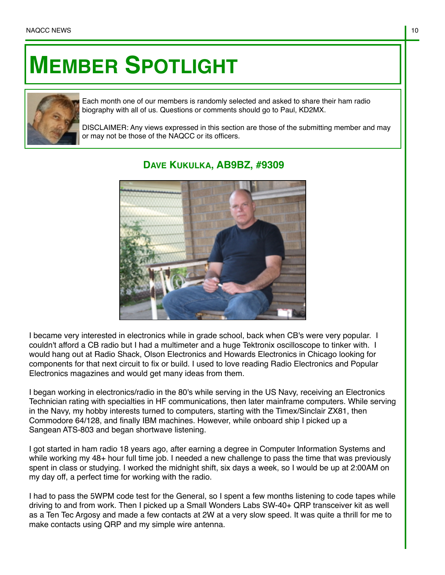## **MEMBER SPOTLIGHT**



Each month one of our members is randomly selected and asked to share their ham radio biography with all of us. Questions or comments should go to Paul, KD2MX.

DISCLAIMER: Any views expressed in this section are those of the submitting member and may or may not be those of the NAQCC or its officers.



## **DAVE KUKULKA, AB9BZ, #9309**

I became very interested in electronics while in grade school, back when CB's were very popular. I couldn't afford a CB radio but I had a multimeter and a huge Tektronix oscilloscope to tinker with. I would hang out at Radio Shack, Olson Electronics and Howards Electronics in Chicago looking for components for that next circuit to fix or build. I used to love reading Radio Electronics and Popular Electronics magazines and would get many ideas from them.

I began working in electronics/radio in the 80's while serving in the US Navy, receiving an Electronics Technician rating with specialties in HF communications, then later mainframe computers. While serving in the Navy, my hobby interests turned to computers, starting with the Timex/Sinclair ZX81, then Commodore 64/128, and finally IBM machines. However, while onboard ship I picked up a Sangean ATS-803 and began shortwave listening.

I got started in ham radio 18 years ago, after earning a degree in Computer Information Systems and while working my 48+ hour full time job. I needed a new challenge to pass the time that was previously spent in class or studying. I worked the midnight shift, six days a week, so I would be up at 2:00AM on my day off, a perfect time for working with the radio.

I had to pass the 5WPM code test for the General, so I spent a few months listening to code tapes while driving to and from work. Then I picked up a Small Wonders Labs SW-40+ QRP transceiver kit as well as a Ten Tec Argosy and made a few contacts at 2W at a very slow speed. It was quite a thrill for me to make contacts using QRP and my simple wire antenna.